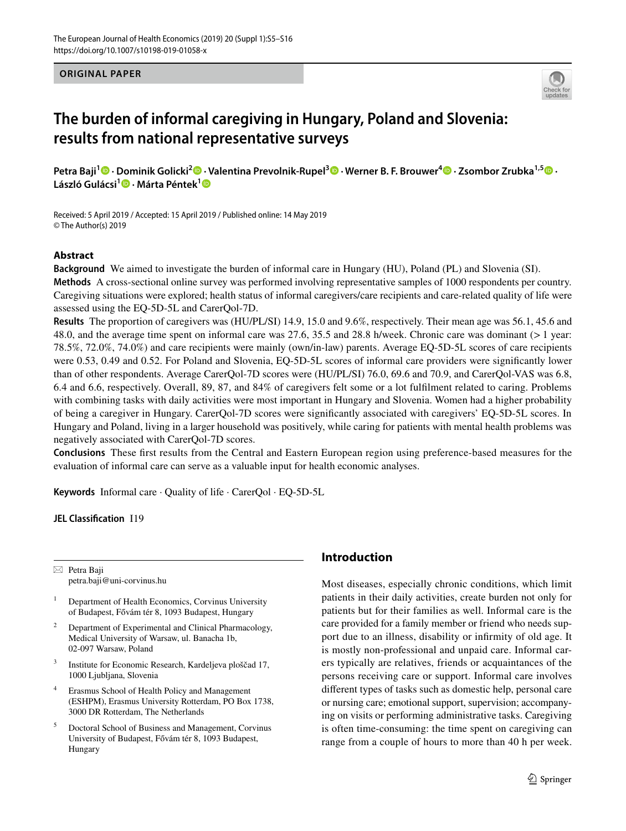## **ORIGINAL PAPER**



# **The burden of informal caregiving in Hungary, Poland and Slovenia: results from national representative surveys**

**Petra Baji<sup>1</sup> · Dominik Golicki<sup>2</sup> · Valentina Prevolnik‑Rupel3 · Werner B. F. Brouwer[4](http://orcid.org/0000-0002-0476-8397) · Zsombor Zrubka1,5 · László Gulácsi1  [·](http://orcid.org/0000-0002-9285-8746) Márta Péntek[1](http://orcid.org/0000-0001-9636-6012)**

Received: 5 April 2019 / Accepted: 15 April 2019 / Published online: 14 May 2019 © The Author(s) 2019

# **Abstract**

**Background** We aimed to investigate the burden of informal care in Hungary (HU), Poland (PL) and Slovenia (SI). **Methods** A cross-sectional online survey was performed involving representative samples of 1000 respondents per country. Caregiving situations were explored; health status of informal caregivers/care recipients and care-related quality of life were assessed using the EQ-5D-5L and CarerQol-7D.

**Results** The proportion of caregivers was (HU/PL/SI) 14.9, 15.0 and 9.6%, respectively. Their mean age was 56.1, 45.6 and 48.0, and the average time spent on informal care was 27.6, 35.5 and 28.8 h/week. Chronic care was dominant (> 1 year: 78.5%, 72.0%, 74.0%) and care recipients were mainly (own/in-law) parents. Average EQ-5D-5L scores of care recipients were 0.53, 0.49 and 0.52. For Poland and Slovenia, EQ-5D-5L scores of informal care providers were signifcantly lower than of other respondents. Average CarerQol-7D scores were (HU/PL/SI) 76.0, 69.6 and 70.9, and CarerQol-VAS was 6.8, 6.4 and 6.6, respectively. Overall, 89, 87, and 84% of caregivers felt some or a lot fulflment related to caring. Problems with combining tasks with daily activities were most important in Hungary and Slovenia. Women had a higher probability of being a caregiver in Hungary. CarerQol-7D scores were signifcantly associated with caregivers' EQ-5D-5L scores. In Hungary and Poland, living in a larger household was positively, while caring for patients with mental health problems was negatively associated with CarerQol-7D scores.

**Conclusions** These frst results from the Central and Eastern European region using preference-based measures for the evaluation of informal care can serve as a valuable input for health economic analyses.

**Keywords** Informal care · Quality of life · CarerQol · EQ-5D-5L

**JEL Classifcation** I19

 $\boxtimes$  Petra Baji petra.baji@uni-corvinus.hu

- <sup>1</sup> Department of Health Economics, Corvinus University of Budapest, Fővám tér 8, 1093 Budapest, Hungary
- Department of Experimental and Clinical Pharmacology, Medical University of Warsaw, ul. Banacha 1b, 02-097 Warsaw, Poland
- <sup>3</sup> Institute for Economic Research, Kardeljeva ploščad 17, 1000 Ljubljana, Slovenia
- <sup>4</sup> Erasmus School of Health Policy and Management (ESHPM), Erasmus University Rotterdam, PO Box 1738, 3000 DR Rotterdam, The Netherlands
- <sup>5</sup> Doctoral School of Business and Management, Corvinus University of Budapest, Fővám tér 8, 1093 Budapest, Hungary

# **Introduction**

Most diseases, especially chronic conditions, which limit patients in their daily activities, create burden not only for patients but for their families as well. Informal care is the care provided for a family member or friend who needs support due to an illness, disability or infrmity of old age. It is mostly non-professional and unpaid care. Informal carers typically are relatives, friends or acquaintances of the persons receiving care or support. Informal care involves diferent types of tasks such as domestic help, personal care or nursing care; emotional support, supervision; accompanying on visits or performing administrative tasks. Caregiving is often time-consuming: the time spent on caregiving can range from a couple of hours to more than 40 h per week.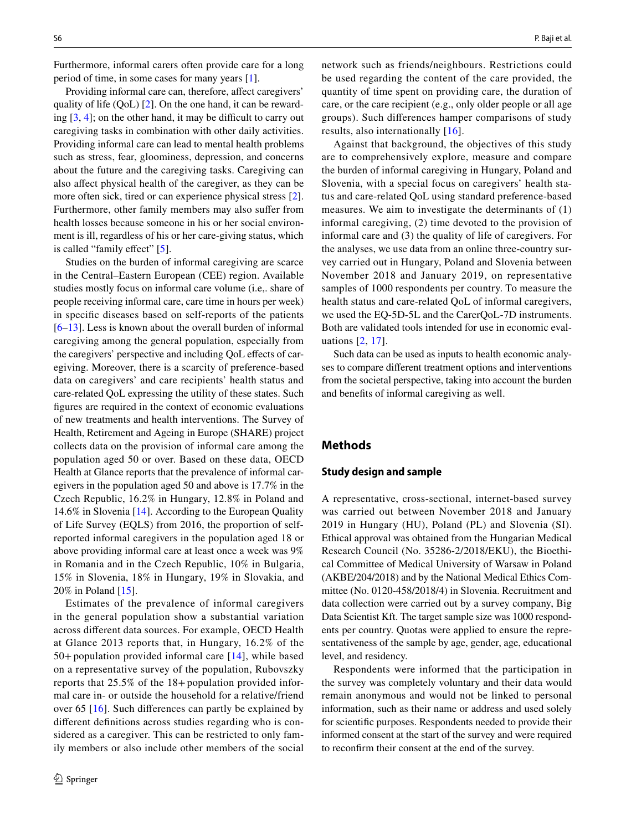Furthermore, informal carers often provide care for a long period of time, in some cases for many years [[1\]](#page-10-0).

Providing informal care can, therefore, affect caregivers' quality of life (QoL) [\[2](#page-10-1)]. On the one hand, it can be rewarding  $[3, 4]$  $[3, 4]$  $[3, 4]$  $[3, 4]$ ; on the other hand, it may be difficult to carry out caregiving tasks in combination with other daily activities. Providing informal care can lead to mental health problems such as stress, fear, gloominess, depression, and concerns about the future and the caregiving tasks. Caregiving can also afect physical health of the caregiver, as they can be more often sick, tired or can experience physical stress [\[2](#page-10-1)]. Furthermore, other family members may also sufer from health losses because someone in his or her social environment is ill, regardless of his or her care-giving status, which is called "family effect" [\[5](#page-11-0)].

Studies on the burden of informal caregiving are scarce in the Central–Eastern European (CEE) region. Available studies mostly focus on informal care volume (i.e,. share of people receiving informal care, care time in hours per week) in specifc diseases based on self-reports of the patients [\[6](#page-11-1)–[13\]](#page-11-2). Less is known about the overall burden of informal caregiving among the general population, especially from the caregivers' perspective and including QoL effects of caregiving. Moreover, there is a scarcity of preference-based data on caregivers' and care recipients' health status and care-related QoL expressing the utility of these states. Such fgures are required in the context of economic evaluations of new treatments and health interventions. The Survey of Health, Retirement and Ageing in Europe (SHARE) project collects data on the provision of informal care among the population aged 50 or over. Based on these data, OECD Health at Glance reports that the prevalence of informal caregivers in the population aged 50 and above is 17.7% in the Czech Republic, 16.2% in Hungary, 12.8% in Poland and 14.6% in Slovenia [[14\]](#page-11-3). According to the European Quality of Life Survey (EQLS) from 2016, the proportion of selfreported informal caregivers in the population aged 18 or above providing informal care at least once a week was 9% in Romania and in the Czech Republic, 10% in Bulgaria, 15% in Slovenia, 18% in Hungary, 19% in Slovakia, and 20% in Poland [\[15](#page-11-4)].

Estimates of the prevalence of informal caregivers in the general population show a substantial variation across diferent data sources. For example, OECD Health at Glance 2013 reports that, in Hungary, 16.2% of the 50+population provided informal care [[14](#page-11-3)], while based on a representative survey of the population, Rubovszky reports that 25.5% of the 18+population provided informal care in- or outside the household for a relative/friend over 65 [\[16\]](#page-11-5). Such diferences can partly be explained by diferent defnitions across studies regarding who is considered as a caregiver. This can be restricted to only family members or also include other members of the social network such as friends/neighbours. Restrictions could be used regarding the content of the care provided, the quantity of time spent on providing care, the duration of care, or the care recipient (e.g., only older people or all age groups). Such diferences hamper comparisons of study results, also internationally [[16\]](#page-11-5).

Against that background, the objectives of this study are to comprehensively explore, measure and compare the burden of informal caregiving in Hungary, Poland and Slovenia, with a special focus on caregivers' health status and care-related QoL using standard preference-based measures. We aim to investigate the determinants of (1) informal caregiving, (2) time devoted to the provision of informal care and (3) the quality of life of caregivers. For the analyses, we use data from an online three-country survey carried out in Hungary, Poland and Slovenia between November 2018 and January 2019, on representative samples of 1000 respondents per country. To measure the health status and care-related QoL of informal caregivers, we used the EQ-5D-5L and the CarerQoL-7D instruments. Both are validated tools intended for use in economic evaluations [\[2,](#page-10-1) [17](#page-11-6)].

Such data can be used as inputs to health economic analyses to compare diferent treatment options and interventions from the societal perspective, taking into account the burden and benefts of informal caregiving as well.

# **Methods**

#### **Study design and sample**

A representative, cross-sectional, internet-based survey was carried out between November 2018 and January 2019 in Hungary (HU), Poland (PL) and Slovenia (SI). Ethical approval was obtained from the Hungarian Medical Research Council (No. 35286-2/2018/EKU), the Bioethical Committee of Medical University of Warsaw in Poland (AKBE/204/2018) and by the National Medical Ethics Committee (No. 0120-458/2018/4) in Slovenia. Recruitment and data collection were carried out by a survey company, Big Data Scientist Kft. The target sample size was 1000 respondents per country. Quotas were applied to ensure the representativeness of the sample by age, gender, age, educational level, and residency.

Respondents were informed that the participation in the survey was completely voluntary and their data would remain anonymous and would not be linked to personal information, such as their name or address and used solely for scientifc purposes. Respondents needed to provide their informed consent at the start of the survey and were required to reconfrm their consent at the end of the survey.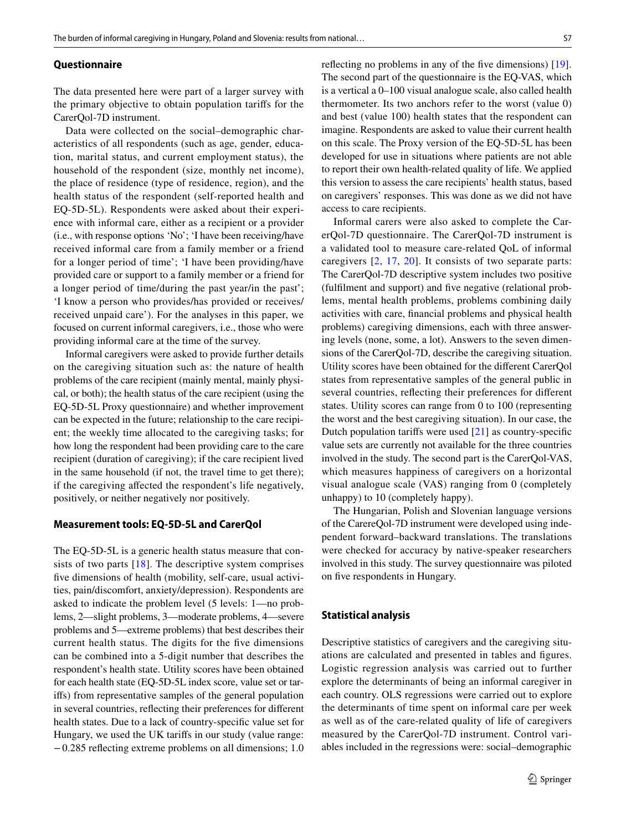#### **Questionnaire**

The data presented here were part of a larger survey with the primary objective to obtain population tarifs for the CarerQol-7D instrument.

Data were collected on the social–demographic characteristics of all respondents (such as age, gender, education, marital status, and current employment status), the household of the respondent (size, monthly net income), the place of residence (type of residence, region), and the health status of the respondent (self-reported health and EQ-5D-5L). Respondents were asked about their experience with informal care, either as a recipient or a provider (i.e., with response options 'No'; 'I have been receiving/have received informal care from a family member or a friend for a longer period of time'; 'I have been providing/have provided care or support to a family member or a friend for a longer period of time/during the past year/in the past'; 'I know a person who provides/has provided or receives/ received unpaid care'). For the analyses in this paper, we focused on current informal caregivers, i.e., those who were providing informal care at the time of the survey.

Informal caregivers were asked to provide further details on the caregiving situation such as: the nature of health problems of the care recipient (mainly mental, mainly physical, or both); the health status of the care recipient (using the EQ-5D-5L Proxy questionnaire) and whether improvement can be expected in the future; relationship to the care recipient; the weekly time allocated to the caregiving tasks; for how long the respondent had been providing care to the care recipient (duration of caregiving); if the care recipient lived in the same household (if not, the travel time to get there); if the caregiving afected the respondent's life negatively, positively, or neither negatively nor positively.

#### **Measurement tools: EQ‑5D‑5L and CarerQol**

The EQ-5D-5L is a generic health status measure that con-sists of two parts [[18](#page-11-7)]. The descriptive system comprises fve dimensions of health (mobility, self-care, usual activities, pain/discomfort, anxiety/depression). Respondents are asked to indicate the problem level (5 levels: 1—no problems, 2—slight problems, 3—moderate problems, 4—severe problems and 5—extreme problems) that best describes their current health status. The digits for the fve dimensions can be combined into a 5-digit number that describes the respondent's health state. Utility scores have been obtained for each health state (EQ-5D-5L index score, value set or tarifs) from representative samples of the general population in several countries, refecting their preferences for diferent health states. Due to a lack of country-specifc value set for Hungary, we used the UK tarifs in our study (value range: −0.285 refecting extreme problems on all dimensions; 1.0 reflecting no problems in any of the five dimensions) [\[19](#page-11-8)]. The second part of the questionnaire is the EQ-VAS, which is a vertical a 0–100 visual analogue scale, also called health thermometer. Its two anchors refer to the worst (value 0) and best (value 100) health states that the respondent can imagine. Respondents are asked to value their current health on this scale. The Proxy version of the EQ-5D-5L has been developed for use in situations where patients are not able to report their own health-related quality of life. We applied this version to assess the care recipients' health status, based on caregivers' responses. This was done as we did not have access to care recipients.

Informal carers were also asked to complete the CarerQol-7D questionnaire. The CarerQol-7D instrument is a validated tool to measure care-related QoL of informal caregivers [\[2](#page-10-1), [17](#page-11-6), [20\]](#page-11-9). It consists of two separate parts: The CarerQol-7D descriptive system includes two positive (fulflment and support) and fve negative (relational problems, mental health problems, problems combining daily activities with care, fnancial problems and physical health problems) caregiving dimensions, each with three answering levels (none, some, a lot). Answers to the seven dimensions of the CarerQol-7D, describe the caregiving situation. Utility scores have been obtained for the diferent CarerQol states from representative samples of the general public in several countries, reflecting their preferences for different states. Utility scores can range from 0 to 100 (representing the worst and the best caregiving situation). In our case, the Dutch population tarifs were used [[21](#page-11-10)] as country-specifc value sets are currently not available for the three countries involved in the study. The second part is the CarerQol-VAS, which measures happiness of caregivers on a horizontal visual analogue scale (VAS) ranging from 0 (completely unhappy) to 10 (completely happy).

The Hungarian, Polish and Slovenian language versions of the CarereQol-7D instrument were developed using independent forward–backward translations. The translations were checked for accuracy by native-speaker researchers involved in this study. The survey questionnaire was piloted on fve respondents in Hungary.

## **Statistical analysis**

Descriptive statistics of caregivers and the caregiving situations are calculated and presented in tables and fgures. Logistic regression analysis was carried out to further explore the determinants of being an informal caregiver in each country. OLS regressions were carried out to explore the determinants of time spent on informal care per week as well as of the care-related quality of life of caregivers measured by the CarerQol-7D instrument. Control variables included in the regressions were: social–demographic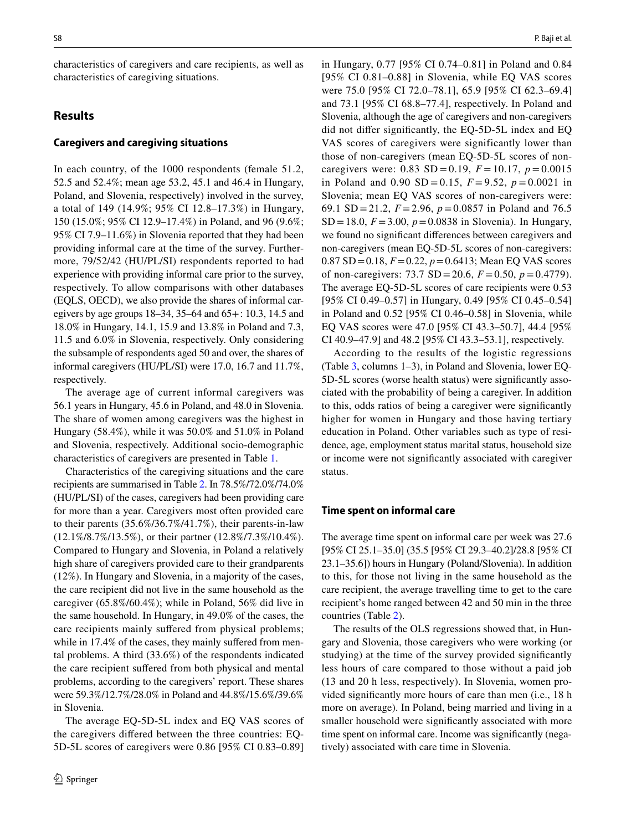characteristics of caregivers and care recipients, as well as characteristics of caregiving situations.

# **Results**

## **Caregivers and caregiving situations**

In each country, of the 1000 respondents (female 51.2, 52.5 and 52.4%; mean age 53.2, 45.1 and 46.4 in Hungary, Poland, and Slovenia, respectively) involved in the survey, a total of 149 (14.9%; 95% CI 12.8–17.3%) in Hungary, 150 (15.0%; 95% CI 12.9–17.4%) in Poland, and 96 (9.6%; 95% CI 7.9–11.6%) in Slovenia reported that they had been providing informal care at the time of the survey. Furthermore, 79/52/42 (HU/PL/SI) respondents reported to had experience with providing informal care prior to the survey, respectively. To allow comparisons with other databases (EQLS, OECD), we also provide the shares of informal caregivers by age groups 18–34, 35–64 and 65+: 10.3, 14.5 and 18.0% in Hungary, 14.1, 15.9 and 13.8% in Poland and 7.3, 11.5 and 6.0% in Slovenia, respectively. Only considering the subsample of respondents aged 50 and over, the shares of informal caregivers (HU/PL/SI) were 17.0, 16.7 and 11.7%, respectively.

The average age of current informal caregivers was 56.1 years in Hungary, 45.6 in Poland, and 48.0 in Slovenia. The share of women among caregivers was the highest in Hungary (58.4%), while it was 50.0% and 51.0% in Poland and Slovenia, respectively. Additional socio-demographic characteristics of caregivers are presented in Table [1](#page-4-0).

Characteristics of the caregiving situations and the care recipients are summarised in Table [2.](#page-5-0) In 78.5%/72.0%/74.0% (HU/PL/SI) of the cases, caregivers had been providing care for more than a year. Caregivers most often provided care to their parents (35.6%/36.7%/41.7%), their parents-in-law (12.1%/8.7%/13.5%), or their partner (12.8%/7.3%/10.4%). Compared to Hungary and Slovenia, in Poland a relatively high share of caregivers provided care to their grandparents (12%). In Hungary and Slovenia, in a majority of the cases, the care recipient did not live in the same household as the caregiver (65.8%/60.4%); while in Poland, 56% did live in the same household. In Hungary, in 49.0% of the cases, the care recipients mainly sufered from physical problems; while in 17.4% of the cases, they mainly suffered from mental problems. A third (33.6%) of the respondents indicated the care recipient sufered from both physical and mental problems, according to the caregivers' report. These shares were 59.3%/12.7%/28.0% in Poland and 44.8%/15.6%/39.6% in Slovenia.

The average EQ-5D-5L index and EQ VAS scores of the caregivers difered between the three countries: EQ-5D-5L scores of caregivers were 0.86 [95% CI 0.83–0.89] in Hungary, 0.77 [95% CI 0.74–0.81] in Poland and 0.84 [95% CI 0.81–0.88] in Slovenia, while EQ VAS scores were 75.0 [95% CI 72.0–78.1], 65.9 [95% CI 62.3–69.4] and 73.1 [95% CI 68.8–77.4], respectively. In Poland and Slovenia, although the age of caregivers and non-caregivers did not difer signifcantly, the EQ-5D-5L index and EQ VAS scores of caregivers were significantly lower than those of non-caregivers (mean EQ-5D-5L scores of noncaregivers were:  $0.83$  SD = 0.19,  $F = 10.17$ ,  $p = 0.0015$ in Poland and 0.90 SD = 0.15,  $F = 9.52$ ,  $p = 0.0021$  in Slovenia; mean EQ VAS scores of non-caregivers were: 69.1 SD = 21.2,  $F = 2.96$ ,  $p = 0.0857$  in Poland and 76.5 SD = 18.0,  $F = 3.00$ ,  $p = 0.0838$  in Slovenia). In Hungary, we found no signifcant diferences between caregivers and non-caregivers (mean EQ-5D-5L scores of non-caregivers:  $0.87$  SD = 0.18,  $F = 0.22$ ,  $p = 0.6413$ ; Mean EQ VAS scores of non-caregivers: 73.7 SD = 20.6,  $F = 0.50$ ,  $p = 0.4779$ ). The average EQ-5D-5L scores of care recipients were 0.53 [95% CI 0.49–0.57] in Hungary, 0.49 [95% CI 0.45–0.54] in Poland and 0.52 [95% CI 0.46–0.58] in Slovenia, while EQ VAS scores were 47.0 [95% CI 43.3–50.7], 44.4 [95% CI 40.9–47.9] and 48.2 [95% CI 43.3–53.1], respectively.

According to the results of the logistic regressions (Table [3,](#page-6-0) columns 1–3), in Poland and Slovenia, lower EQ-5D-5L scores (worse health status) were signifcantly associated with the probability of being a caregiver. In addition to this, odds ratios of being a caregiver were signifcantly higher for women in Hungary and those having tertiary education in Poland. Other variables such as type of residence, age, employment status marital status, household size or income were not signifcantly associated with caregiver status.

## **Time spent on informal care**

The average time spent on informal care per week was 27.6 [95% CI 25.1–35.0] (35.5 [95% CI 29.3–40.2]/28.8 [95% CI 23.1–35.6]) hours in Hungary (Poland/Slovenia). In addition to this, for those not living in the same household as the care recipient, the average travelling time to get to the care recipient's home ranged between 42 and 50 min in the three countries (Table [2](#page-5-0)).

The results of the OLS regressions showed that, in Hungary and Slovenia, those caregivers who were working (or studying) at the time of the survey provided signifcantly less hours of care compared to those without a paid job (13 and 20 h less, respectively). In Slovenia, women provided signifcantly more hours of care than men (i.e., 18 h more on average). In Poland, being married and living in a smaller household were signifcantly associated with more time spent on informal care. Income was signifcantly (negatively) associated with care time in Slovenia.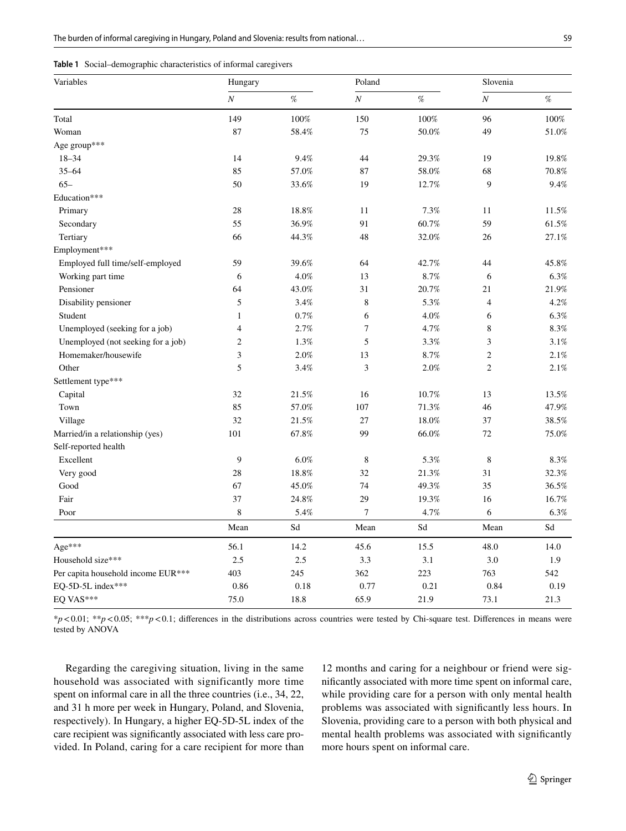<span id="page-4-0"></span>

| <b>Table 1</b> Social–demographic characteristics of informal caregivers |
|--------------------------------------------------------------------------|
|                                                                          |

| Variables                          | Hungary          |       | Poland           |       | Slovenia       |       |
|------------------------------------|------------------|-------|------------------|-------|----------------|-------|
|                                    | $\boldsymbol{N}$ | %     | $\cal N$         | %     | $\cal N$       | %     |
| Total                              | 149              | 100%  | 150              | 100%  | 96             | 100%  |
| Woman                              | 87               | 58.4% | 75               | 50.0% | 49             | 51.0% |
| Age group***                       |                  |       |                  |       |                |       |
| $18 - 34$                          | 14               | 9.4%  | 44               | 29.3% | 19             | 19.8% |
| $35 - 64$                          | 85               | 57.0% | 87               | 58.0% | 68             | 70.8% |
| $65 -$                             | 50               | 33.6% | 19               | 12.7% | 9              | 9.4%  |
| Education***                       |                  |       |                  |       |                |       |
| Primary                            | 28               | 18.8% | 11               | 7.3%  | 11             | 11.5% |
| Secondary                          | 55               | 36.9% | 91               | 60.7% | 59             | 61.5% |
| Tertiary                           | 66               | 44.3% | 48               | 32.0% | 26             | 27.1% |
| Employment***                      |                  |       |                  |       |                |       |
| Employed full time/self-employed   | 59               | 39.6% | 64               | 42.7% | 44             | 45.8% |
| Working part time                  | 6                | 4.0%  | 13               | 8.7%  | 6              | 6.3%  |
| Pensioner                          | 64               | 43.0% | 31               | 20.7% | 21             | 21.9% |
| Disability pensioner               | 5                | 3.4%  | 8                | 5.3%  | $\overline{4}$ | 4.2%  |
| Student                            | $\mathbf{1}$     | 0.7%  | 6                | 4.0%  | 6              | 6.3%  |
| Unemployed (seeking for a job)     | $\overline{4}$   | 2.7%  | $\tau$           | 4.7%  | 8              | 8.3%  |
| Unemployed (not seeking for a job) | $\overline{c}$   | 1.3%  | 5                | 3.3%  | 3              | 3.1%  |
| Homemaker/housewife                | 3                | 2.0%  | 13               | 8.7%  | $\overline{c}$ | 2.1%  |
| Other                              | 5                | 3.4%  | $\mathfrak{Z}$   | 2.0%  | $\overline{c}$ | 2.1%  |
| Settlement type***                 |                  |       |                  |       |                |       |
| Capital                            | 32               | 21.5% | 16               | 10.7% | 13             | 13.5% |
| Town                               | 85               | 57.0% | 107              | 71.3% | 46             | 47.9% |
| Village                            | 32               | 21.5% | 27               | 18.0% | 37             | 38.5% |
| Married/in a relationship (yes)    | 101              | 67.8% | 99               | 66.0% | 72             | 75.0% |
| Self-reported health               |                  |       |                  |       |                |       |
| Excellent                          | 9                | 6.0%  | $\,8$            | 5.3%  | $\,$ 8 $\,$    | 8.3%  |
| Very good                          | 28               | 18.8% | 32               | 21.3% | 31             | 32.3% |
| Good                               | 67               | 45.0% | 74               | 49.3% | 35             | 36.5% |
| Fair                               | 37               | 24.8% | 29               | 19.3% | 16             | 16.7% |
| Poor                               | 8                | 5.4%  | $\boldsymbol{7}$ | 4.7%  | 6              | 6.3%  |
|                                    | Mean             | Sd    | Mean             | Sd    | Mean           | Sd    |
| Age***                             | 56.1             | 14.2  | 45.6             | 15.5  | 48.0           | 14.0  |
| Household size***                  | 2.5              | 2.5   | 3.3              | 3.1   | 3.0            | 1.9   |
| Per capita household income EUR*** | 403              | 245   | 362              | 223   | 763            | 542   |
| EQ-5D-5L index***                  | 0.86             | 0.18  | 0.77             | 0.21  | 0.84           | 0.19  |
| EQ VAS***                          | 75.0             | 18.8  | 65.9             | 21.9  | 73.1           | 21.3  |

\**p*<0.01; \*\**p*<0.05; \*\*\**p*<0.1; diferences in the distributions across countries were tested by Chi-square test. Diferences in means were tested by ANOVA

Regarding the caregiving situation, living in the same household was associated with significantly more time spent on informal care in all the three countries (i.e., 34, 22, and 31 h more per week in Hungary, Poland, and Slovenia, respectively). In Hungary, a higher EQ-5D-5L index of the care recipient was signifcantly associated with less care provided. In Poland, caring for a care recipient for more than

12 months and caring for a neighbour or friend were signifcantly associated with more time spent on informal care, while providing care for a person with only mental health problems was associated with signifcantly less hours. In Slovenia, providing care to a person with both physical and mental health problems was associated with signifcantly more hours spent on informal care.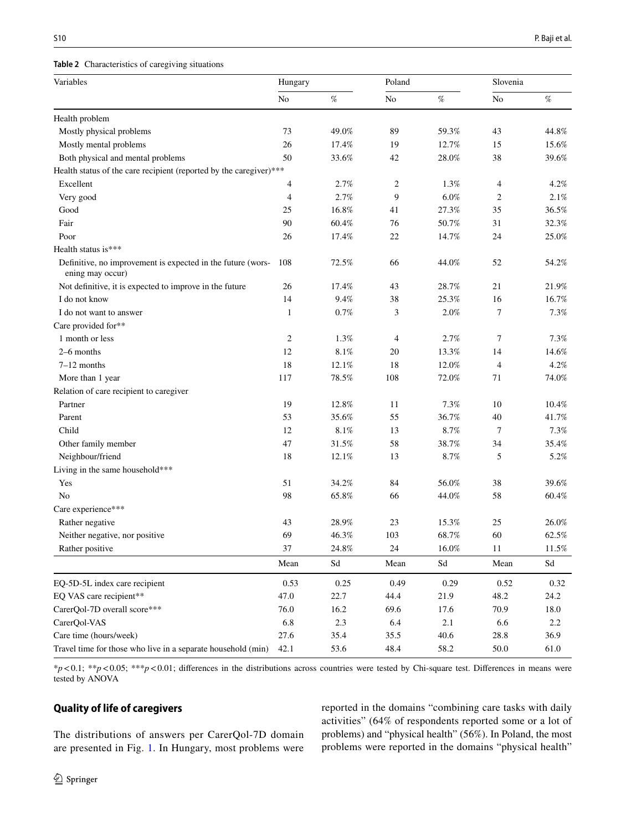#### <span id="page-5-0"></span>**Table 2** Characteristics of caregiving situations

| Variables                                                                       | Hungary        |          | Poland |          | Slovenia       |          |
|---------------------------------------------------------------------------------|----------------|----------|--------|----------|----------------|----------|
|                                                                                 | N <sub>o</sub> | $\%$     | No     | $\%$     | No             | $\%$     |
| Health problem                                                                  |                |          |        |          |                |          |
| Mostly physical problems                                                        | 73             | 49.0%    | 89     | 59.3%    | 43             | 44.8%    |
| Mostly mental problems                                                          | 26             | 17.4%    | 19     | 12.7%    | 15             | 15.6%    |
| Both physical and mental problems                                               | 50             | 33.6%    | 42     | 28.0%    | 38             | 39.6%    |
| Health status of the care recipient (reported by the caregiver)***              |                |          |        |          |                |          |
| Excellent                                                                       | 4              | 2.7%     | 2      | 1.3%     | 4              | 4.2%     |
| Very good                                                                       | $\overline{4}$ | 2.7%     | 9      | $6.0\%$  | 2              | 2.1%     |
| Good                                                                            | 25             | 16.8%    | 41     | 27.3%    | 35             | 36.5%    |
| Fair                                                                            | 90             | 60.4%    | 76     | 50.7%    | 31             | 32.3%    |
| Poor                                                                            | 26             | 17.4%    | 22     | 14.7%    | 24             | 25.0%    |
| Health status is***                                                             |                |          |        |          |                |          |
| Definitive, no improvement is expected in the future (wors-<br>ening may occur) | 108            | 72.5%    | 66     | 44.0%    | 52             | 54.2%    |
| Not definitive, it is expected to improve in the future                         | 26             | 17.4%    | 43     | 28.7%    | 21             | 21.9%    |
| I do not know                                                                   | 14             | 9.4%     | 38     | 25.3%    | 16             | 16.7%    |
| I do not want to answer                                                         | $\mathbf{1}$   | 0.7%     | 3      | 2.0%     | 7              | 7.3%     |
| Care provided for**                                                             |                |          |        |          |                |          |
| 1 month or less                                                                 | 2              | 1.3%     | 4      | 2.7%     | 7              | 7.3%     |
| 2-6 months                                                                      | 12             | 8.1%     | 20     | 13.3%    | 14             | 14.6%    |
| $7-12$ months                                                                   | 18             | 12.1%    | 18     | 12.0%    | $\overline{4}$ | 4.2%     |
| More than 1 year                                                                | 117            | 78.5%    | 108    | 72.0%    | 71             | 74.0%    |
| Relation of care recipient to caregiver                                         |                |          |        |          |                |          |
| Partner                                                                         | 19             | 12.8%    | 11     | 7.3%     | $10\,$         | $10.4\%$ |
| Parent                                                                          | 53             | 35.6%    | 55     | 36.7%    | 40             | 41.7%    |
| Child                                                                           | 12             | 8.1%     | 13     | 8.7%     | 7              | 7.3%     |
| Other family member                                                             | 47             | 31.5%    | 58     | 38.7%    | 34             | 35.4%    |
| Neighbour/friend                                                                | 18             | 12.1%    | 13     | 8.7%     | 5              | 5.2%     |
| Living in the same household***                                                 |                |          |        |          |                |          |
| Yes                                                                             | 51             | 34.2%    | 84     | 56.0%    | 38             | 39.6%    |
| No                                                                              | 98             | 65.8%    | 66     | 44.0%    | 58             | 60.4%    |
| Care experience***                                                              |                |          |        |          |                |          |
| Rather negative                                                                 | 43             | 28.9%    | 23     | 15.3%    | 25             | 26.0%    |
| Neither negative, nor positive                                                  | 69             | 46.3%    | 103    | 68.7%    | 60             | 62.5%    |
| Rather positive                                                                 | 37             | $24.8\%$ | $24\,$ | $16.0\%$ | 11             | $11.5\%$ |
|                                                                                 | Mean           | Sd       | Mean   | Sd       | Mean           | Sd       |
| EQ-5D-5L index care recipient                                                   | 0.53           | 0.25     | 0.49   | 0.29     | 0.52           | 0.32     |
| EQ VAS care recipient**                                                         | 47.0           | 22.7     | 44.4   | 21.9     | 48.2           | 24.2     |
| CarerQol-7D overall score***                                                    | 76.0           | 16.2     | 69.6   | 17.6     | 70.9           | 18.0     |
| CarerQol-VAS                                                                    | 6.8            | 2.3      | 6.4    | 2.1      | 6.6            | 2.2      |
| Care time (hours/week)                                                          | 27.6           | 35.4     | 35.5   | 40.6     | 28.8           | 36.9     |
| Travel time for those who live in a separate household (min)                    | 42.1           | 53.6     | 48.4   | 58.2     | 50.0           | 61.0     |

\**p*<0.1; \*\**p*<0.05; \*\*\**p*<0.01; diferences in the distributions across countries were tested by Chi-square test. Diferences in means were tested by ANOVA

# **Quality of life of caregivers**

The distributions of answers per CarerQol-7D domain are presented in Fig. [1.](#page-7-0) In Hungary, most problems were reported in the domains "combining care tasks with daily activities" (64% of respondents reported some or a lot of problems) and "physical health" (56%). In Poland, the most problems were reported in the domains "physical health"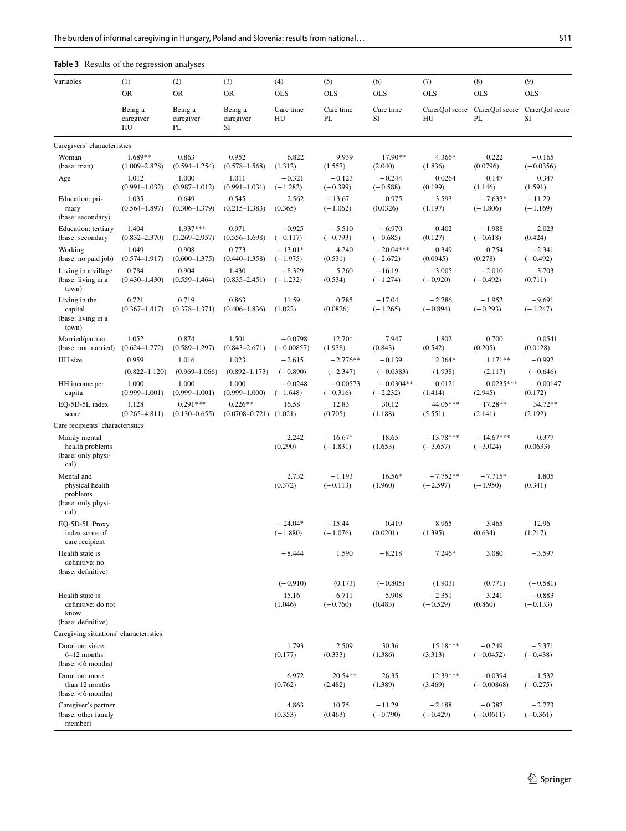# <span id="page-6-0"></span>**Table 3** Results of the regression analyses

| Variables                                                               | (1)                          | (2)                             | (3)                                       | (4)                       | (5)                      | (6)                       | (7)                       | (8)                       | (9)                     |
|-------------------------------------------------------------------------|------------------------------|---------------------------------|-------------------------------------------|---------------------------|--------------------------|---------------------------|---------------------------|---------------------------|-------------------------|
|                                                                         | <b>OR</b>                    | <b>OR</b>                       | <b>OR</b>                                 | <b>OLS</b>                | <b>OLS</b>               | <b>OLS</b>                | <b>OLS</b>                | <b>OLS</b>                | <b>OLS</b>              |
|                                                                         | Being a<br>caregiver<br>HU   | Being a<br>caregiver<br>PL      | Being a<br>caregiver<br>SI                | Care time<br>HU           | Care time<br>PL          | Care time<br>SI           | CarerQol score<br>HU      | CarerQol score<br>PL      | CarerQol score<br>SI    |
| Caregivers' characteristics                                             |                              |                                 |                                           |                           |                          |                           |                           |                           |                         |
| Woman<br>(base: man)                                                    | 1.689**<br>$(1.009 - 2.828)$ | 0.863<br>$(0.594 - 1.254)$      | 0.952<br>$(0.578 - 1.568)$                | 6.822<br>(1.312)          | 9.939<br>(1.557)         | 17.90**<br>(2.040)        | 4.366*<br>(1.836)         | 0.222<br>(0.0796)         | $-0.165$<br>$(-0.0356)$ |
| Age                                                                     | 1.012<br>$(0.991 - 1.032)$   | 1.000<br>$(0.987 - 1.012)$      | 1.011<br>$(0.991 - 1.031)$                | $-0.321$<br>$(-1.282)$    | $-0.123$<br>$(-0.399)$   | $-0.244$<br>$(-0.588)$    | 0.0264<br>(0.199)         | 0.147<br>(1.146)          | 0.347<br>(1.591)        |
| Education: pri-<br>mary<br>(base: secondary)                            | 1.035<br>$(0.564 - 1.897)$   | 0.649<br>$(0.306 - 1.379)$      | 0.545<br>$(0.215 - 1.383)$                | 2.562<br>(0.365)          | $-13.67$<br>$(-1.062)$   | 0.975<br>(0.0326)         | 3.593<br>(1.197)          | $-7.633*$<br>$(-1.806)$   | $-11.29$<br>$(-1.169)$  |
| Education: tertiary<br>(base: secondary                                 | 1.404<br>$(0.832 - 2.370)$   | $1.937***$<br>$(1.269 - 2.957)$ | 0.971<br>$(0.556 - 1.698)$                | $-0.925$<br>$(-0.117)$    | $-5.510$<br>$(-0.793)$   | $-6.970$<br>$(-0.685)$    | 0.402<br>(0.127)          | $-1.988$<br>$(-0.618)$    | 2.023<br>(0.424)        |
| Working<br>(base: no paid job)                                          | 1.049<br>$(0.574 - 1.917)$   | 0.908<br>$(0.600 - 1.375)$      | 0.773<br>$(0.440 - 1.358)$                | $-13.01*$<br>$(-1.975)$   | 4.240<br>(0.531)         | $-20.04***$<br>$(-2.672)$ | 0.349<br>(0.0945)         | 0.754<br>(0.278)          | $-2.341$<br>$(-0.492)$  |
| Living in a village<br>(base: living in a<br>town)                      | 0.784<br>$(0.430 - 1.430)$   | 0.904<br>$(0.559 - 1.464)$      | 1.430<br>$(0.835 - 2.451)$                | $-8.329$<br>$(-1.232)$    | 5.260<br>(0.534)         | $-16.19$<br>$(-1.274)$    | $-3.005$<br>$(-0.920)$    | $-2.010$<br>$(-0.492)$    | 3.703<br>(0.711)        |
| Living in the<br>capital<br>(base: living in a<br>town)                 | 0.721<br>$(0.367 - 1.417)$   | 0.719<br>$(0.378 - 1.371)$      | 0.863<br>$(0.406 - 1.836)$                | 11.59<br>(1.022)          | 0.785<br>(0.0826)        | $-17.04$<br>$(-1.265)$    | $-2.786$<br>$(-0.894)$    | $-1.952$<br>$(-0.293)$    | $-9.691$<br>$(-1.247)$  |
| Married/partner<br>(base: not married)                                  | 1.052<br>$(0.624 - 1.772)$   | 0.874<br>$(0.589 - 1.297)$      | 1.501<br>$(0.843 - 2.671)$                | $-0.0798$<br>$(-0.00857)$ | 12.70*<br>(1.938)        | 7.947<br>(0.843)          | 1.802<br>(0.542)          | 0.700<br>(0.205)          | 0.0541<br>(0.0128)      |
| HH size                                                                 | 0.959<br>$(0.822 - 1.120)$   | 1.016<br>$(0.969 - 1.066)$      | 1.023<br>$(0.892 - 1.173)$                | $-2.615$<br>$(-0.890)$    | $-2.776**$<br>$(-2.347)$ | $-0.139$<br>$(-0.0383)$   | 2.364*<br>(1.938)         | $1.171**$<br>(2.117)      | $-0.992$<br>$(-0.646)$  |
| HH income per<br>capita                                                 | 1.000<br>$(0.999 - 1.001)$   | 1.000<br>$(0.999 - 1.001)$      | 1.000<br>$(0.999 - 1.000)$                | $-0.0248$<br>$(-1.648)$   | $-0.00573$<br>$(-0.316)$ | $-0.0304**$<br>$(-2.232)$ | 0.0121<br>(1.414)         | $0.0235***$<br>(2.945)    | 0.00147<br>(0.172)      |
| EQ-5D-5L index<br>score                                                 | 1.128<br>$(0.265 - 4.811)$   | $0.291***$<br>$(0.130 - 0.655)$ | $0.226**$<br>$(0.0708 - 0.721)$ $(1.021)$ | 16.58                     | 12.83<br>(0.705)         | 30.12<br>(1.188)          | 44.05***<br>(5.551)       | 17.28**<br>(2.141)        | 34.72**<br>(2.192)      |
| Care recipients' characteristics                                        |                              |                                 |                                           |                           |                          |                           |                           |                           |                         |
| Mainly mental<br>health problems<br>(base: only physi-<br>cal)          |                              |                                 |                                           | 2.242<br>(0.290)          | $-16.67*$<br>$(-1.831)$  | 18.65<br>(1.653)          | $-13.78***$<br>$(-3.657)$ | $-14.67***$<br>$(-3.024)$ | 0.377<br>(0.0633)       |
| Mental and<br>physical health<br>problems<br>(base: only physi-<br>cal) |                              |                                 |                                           | 2.732<br>(0.372)          | $-1.193$<br>$(-0.113)$   | $16.56*$<br>(1.960)       | $-7.752**$<br>$(-2.597)$  | $-7.715*$<br>$(-1.950)$   | 1.805<br>(0.341)        |
| EO-5D-5L Proxy<br>index score of<br>care recipient                      |                              |                                 |                                           | $-24.04*$<br>$(-1.880)$   | $-15.44$<br>$(-1.076)$   | 0.419<br>(0.0201)         | 8.965<br>(1.395)          | 3.465<br>(0.634)          | 12.96<br>(1.217)        |
| Health state is<br>definitive: no                                       |                              |                                 |                                           | $-8.444$                  | 1.590                    | $-8.218$                  | 7.246*                    | 3.080                     | $-3.597$                |
| (base: definitive)                                                      |                              |                                 |                                           | $(-0.910)$                | (0.173)                  | $(-0.805)$                | (1.903)                   | (0.771)                   | $(-0.581)$              |
| Health state is<br>definitive: do not<br>know<br>(base: definitive)     |                              |                                 |                                           | 15.16<br>(1.046)          | $-6.711$<br>$(-0.760)$   | 5.908<br>(0.483)          | $-2.351$<br>$(-0.529)$    | 3.241<br>(0.860)          | $-0.883$<br>$(-0.133)$  |
| Caregiving situations' characteristics                                  |                              |                                 |                                           |                           |                          |                           |                           |                           |                         |
| Duration: since<br>$6-12$ months<br>(base: < 6 months)                  |                              |                                 |                                           | 1.793<br>(0.177)          | 2.509<br>(0.333)         | 30.36<br>(1.386)          | 15.18***<br>(3.313)       | $-0.249$<br>$(-0.0452)$   | $-5.371$<br>$(-0.438)$  |
| Duration: more<br>than 12 months<br>(base: < 6 months)                  |                              |                                 |                                           | 6.972<br>(0.762)          | 20.54**<br>(2.482)       | 26.35<br>(1.389)          | 12.39***<br>(3.469)       | $-0.0394$<br>$(-0.00868)$ | $-1.532$<br>$(-0.275)$  |
| Caregiver's partner<br>(base: other family<br>member)                   |                              |                                 |                                           | 4.863<br>(0.353)          | 10.75<br>(0.463)         | $-11.29$<br>$(-0.790)$    | $-2.188$<br>$(-0.429)$    | $-0.387$<br>$(-0.0611)$   | $-2.773$<br>$(-0.361)$  |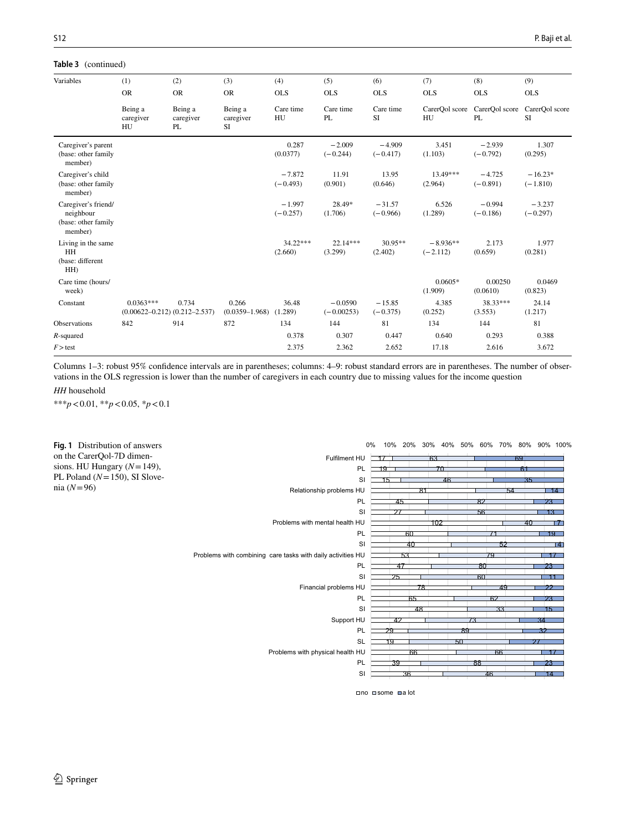### **Table 3** (continued)

| Variables                                                          | (1)                                                | (2)                        | (3)                         | (4)                    | (5)                       | (6)                    | (7)                      | (8)                    | (9)                     |
|--------------------------------------------------------------------|----------------------------------------------------|----------------------------|-----------------------------|------------------------|---------------------------|------------------------|--------------------------|------------------------|-------------------------|
|                                                                    | <b>OR</b>                                          | <b>OR</b>                  | <b>OR</b>                   | <b>OLS</b>             | <b>OLS</b>                | <b>OLS</b>             | <b>OLS</b>               | <b>OLS</b>             | <b>OLS</b>              |
|                                                                    | Being a<br>caregiver<br>HU                         | Being a<br>caregiver<br>PL | Being a<br>caregiver<br>SI  | Care time<br>HU        | Care time<br>PL           | Care time<br><b>SI</b> | CarerOol score<br>HU     | CarerQol score<br>PL   | CarerOol score<br>SI    |
| Caregiver's parent<br>(base: other family<br>member)               |                                                    |                            |                             | 0.287<br>(0.0377)      | $-2.009$<br>$(-0.244)$    | $-4.909$<br>$(-0.417)$ | 3.451<br>(1.103)         | $-2.939$<br>$(-0.792)$ | 1.307<br>(0.295)        |
| Caregiver's child<br>(base: other family<br>member)                |                                                    |                            |                             | $-7.872$<br>$(-0.493)$ | 11.91<br>(0.901)          | 13.95<br>(0.646)       | 13.49***<br>(2.964)      | $-4.725$<br>$(-0.891)$ | $-16.23*$<br>$(-1.810)$ |
| Caregiver's friend/<br>neighbour<br>(base: other family<br>member) |                                                    |                            |                             | $-1.997$<br>$(-0.257)$ | 28.49*<br>(1.706)         | $-31.57$<br>$(-0.966)$ | 6.526<br>(1.289)         | $-0.994$<br>$(-0.186)$ | $-3.237$<br>$(-0.297)$  |
| Living in the same<br>HH<br>(base: different<br>HH)                |                                                    |                            |                             | $34.22***$<br>(2.660)  | $22.14***$<br>(3.299)     | $30.95**$<br>(2.402)   | $-8.936**$<br>$(-2.112)$ | 2.173<br>(0.659)       | 1.977<br>(0.281)        |
| Care time (hours/<br>week)                                         |                                                    |                            |                             |                        |                           |                        | $0.0605*$<br>(1.909)     | 0.00250<br>(0.0610)    | 0.0469<br>(0.823)       |
| Constant                                                           | $0.0363***$<br>$(0.00622 - 0.212) (0.212 - 2.537)$ | 0.734                      | 0.266<br>$(0.0359 - 1.968)$ | 36.48<br>(1.289)       | $-0.0590$<br>$(-0.00253)$ | $-15.85$<br>$(-0.375)$ | 4.385<br>(0.252)         | 38.33***<br>(3.553)    | 24.14<br>(1.217)        |
| <b>Observations</b>                                                | 842                                                | 914                        | 872                         | 134                    | 144                       | 81                     | 134                      | 144                    | 81                      |
| $R$ -squared                                                       |                                                    |                            |                             | 0.378                  | 0.307                     | 0.447                  | 0.640                    | 0.293                  | 0.388                   |
| $F >$ test                                                         |                                                    |                            |                             | 2.375                  | 2.362                     | 2.652                  | 17.18                    | 2.616                  | 3.672                   |

Columns 1–3: robust 95% confdence intervals are in parentheses; columns: 4–9: robust standard errors are in parentheses. The number of observations in the OLS regression is lower than the number of caregivers in each country due to missing values for the income question

#### *HH* household

\*\*\**p*<0.01, \*\**p*<0.05, \**p*<0.1

<span id="page-7-0"></span>

no some a lot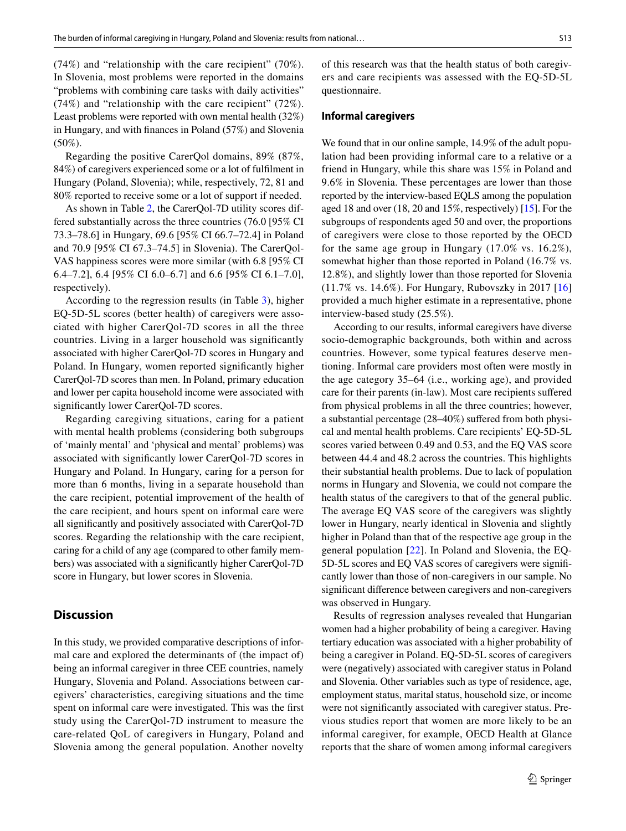(74%) and "relationship with the care recipient" (70%). In Slovenia, most problems were reported in the domains "problems with combining care tasks with daily activities" (74%) and "relationship with the care recipient" (72%). Least problems were reported with own mental health (32%) in Hungary, and with fnances in Poland (57%) and Slovenia (50%).

Regarding the positive CarerQol domains, 89% (87%, 84%) of caregivers experienced some or a lot of fulflment in Hungary (Poland, Slovenia); while, respectively, 72, 81 and 80% reported to receive some or a lot of support if needed.

As shown in Table [2,](#page-5-0) the CarerQol-7D utility scores differed substantially across the three countries (76.0 [95% CI 73.3–78.6] in Hungary, 69.6 [95% CI 66.7–72.4] in Poland and 70.9 [95% CI 67.3–74.5] in Slovenia). The CarerQol-VAS happiness scores were more similar (with 6.8 [95% CI 6.4–7.2], 6.4 [95% CI 6.0–6.7] and 6.6 [95% CI 6.1–7.0], respectively).

According to the regression results (in Table [3](#page-6-0)), higher EQ-5D-5L scores (better health) of caregivers were associated with higher CarerQol-7D scores in all the three countries. Living in a larger household was signifcantly associated with higher CarerQol-7D scores in Hungary and Poland. In Hungary, women reported signifcantly higher CarerQol-7D scores than men. In Poland, primary education and lower per capita household income were associated with signifcantly lower CarerQol-7D scores.

Regarding caregiving situations, caring for a patient with mental health problems (considering both subgroups of 'mainly mental' and 'physical and mental' problems) was associated with signifcantly lower CarerQol-7D scores in Hungary and Poland. In Hungary, caring for a person for more than 6 months, living in a separate household than the care recipient, potential improvement of the health of the care recipient, and hours spent on informal care were all signifcantly and positively associated with CarerQol-7D scores. Regarding the relationship with the care recipient, caring for a child of any age (compared to other family members) was associated with a signifcantly higher CarerQol-7D score in Hungary, but lower scores in Slovenia.

# **Discussion**

In this study, we provided comparative descriptions of informal care and explored the determinants of (the impact of) being an informal caregiver in three CEE countries, namely Hungary, Slovenia and Poland. Associations between caregivers' characteristics, caregiving situations and the time spent on informal care were investigated. This was the frst study using the CarerQol-7D instrument to measure the care-related QoL of caregivers in Hungary, Poland and Slovenia among the general population. Another novelty of this research was that the health status of both caregivers and care recipients was assessed with the EQ-5D-5L questionnaire.

## **Informal caregivers**

We found that in our online sample, 14.9% of the adult population had been providing informal care to a relative or a friend in Hungary, while this share was 15% in Poland and 9.6% in Slovenia. These percentages are lower than those reported by the interview-based EQLS among the population aged 18 and over (18, 20 and 15%, respectively) [\[15](#page-11-4)]. For the subgroups of respondents aged 50 and over, the proportions of caregivers were close to those reported by the OECD for the same age group in Hungary (17.0% vs. 16.2%), somewhat higher than those reported in Poland (16.7% vs. 12.8%), and slightly lower than those reported for Slovenia (11.7% vs. 14.6%). For Hungary, Rubovszky in 2017 [[16\]](#page-11-5) provided a much higher estimate in a representative, phone interview-based study (25.5%).

According to our results, informal caregivers have diverse socio-demographic backgrounds, both within and across countries. However, some typical features deserve mentioning. Informal care providers most often were mostly in the age category 35–64 (i.e., working age), and provided care for their parents (in-law). Most care recipients sufered from physical problems in all the three countries; however, a substantial percentage (28–40%) sufered from both physical and mental health problems. Care recipients' EQ-5D-5L scores varied between 0.49 and 0.53, and the EQ VAS score between 44.4 and 48.2 across the countries. This highlights their substantial health problems. Due to lack of population norms in Hungary and Slovenia, we could not compare the health status of the caregivers to that of the general public. The average EQ VAS score of the caregivers was slightly lower in Hungary, nearly identical in Slovenia and slightly higher in Poland than that of the respective age group in the general population [[22](#page-11-11)]. In Poland and Slovenia, the EQ-5D-5L scores and EQ VAS scores of caregivers were signifcantly lower than those of non-caregivers in our sample. No signifcant diference between caregivers and non-caregivers was observed in Hungary.

Results of regression analyses revealed that Hungarian women had a higher probability of being a caregiver. Having tertiary education was associated with a higher probability of being a caregiver in Poland. EQ-5D-5L scores of caregivers were (negatively) associated with caregiver status in Poland and Slovenia. Other variables such as type of residence, age, employment status, marital status, household size, or income were not signifcantly associated with caregiver status. Previous studies report that women are more likely to be an informal caregiver, for example, OECD Health at Glance reports that the share of women among informal caregivers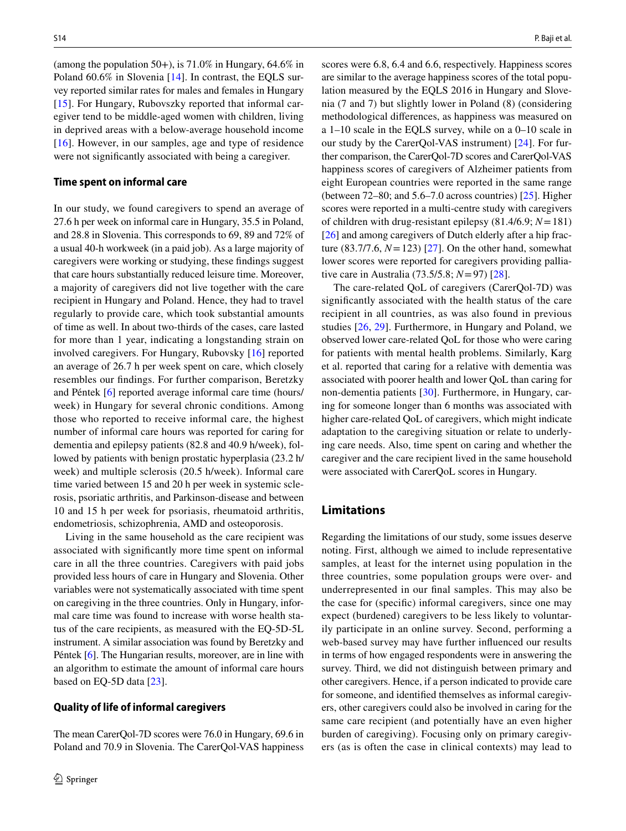(among the population  $50+$ ), is  $71.0\%$  in Hungary,  $64.6\%$  in Poland 60.6% in Slovenia [\[14](#page-11-3)]. In contrast, the EQLS survey reported similar rates for males and females in Hungary [\[15\]](#page-11-4). For Hungary, Rubovszky reported that informal caregiver tend to be middle-aged women with children, living in deprived areas with a below-average household income [\[16\]](#page-11-5). However, in our samples, age and type of residence were not signifcantly associated with being a caregiver.

## **Time spent on informal care**

In our study, we found caregivers to spend an average of 27.6 h per week on informal care in Hungary, 35.5 in Poland, and 28.8 in Slovenia. This corresponds to 69, 89 and 72% of a usual 40-h workweek (in a paid job). As a large majority of caregivers were working or studying, these fndings suggest that care hours substantially reduced leisure time. Moreover, a majority of caregivers did not live together with the care recipient in Hungary and Poland. Hence, they had to travel regularly to provide care, which took substantial amounts of time as well. In about two-thirds of the cases, care lasted for more than 1 year, indicating a longstanding strain on involved caregivers. For Hungary, Rubovsky [[16](#page-11-5)] reported an average of 26.7 h per week spent on care, which closely resembles our fndings. For further comparison, Beretzky and Péntek [[6\]](#page-11-1) reported average informal care time (hours/ week) in Hungary for several chronic conditions. Among those who reported to receive informal care, the highest number of informal care hours was reported for caring for dementia and epilepsy patients (82.8 and 40.9 h/week), followed by patients with benign prostatic hyperplasia (23.2 h/ week) and multiple sclerosis (20.5 h/week). Informal care time varied between 15 and 20 h per week in systemic sclerosis, psoriatic arthritis, and Parkinson-disease and between 10 and 15 h per week for psoriasis, rheumatoid arthritis, endometriosis, schizophrenia, AMD and osteoporosis.

Living in the same household as the care recipient was associated with signifcantly more time spent on informal care in all the three countries. Caregivers with paid jobs provided less hours of care in Hungary and Slovenia. Other variables were not systematically associated with time spent on caregiving in the three countries. Only in Hungary, informal care time was found to increase with worse health status of the care recipients, as measured with the EQ-5D-5L instrument. A similar association was found by Beretzky and Péntek [\[6](#page-11-1)]. The Hungarian results, moreover, are in line with an algorithm to estimate the amount of informal care hours based on EQ-5D data [\[23](#page-11-12)].

#### **Quality of life of informal caregivers**

The mean CarerQol-7D scores were 76.0 in Hungary, 69.6 in Poland and 70.9 in Slovenia. The CarerQol-VAS happiness scores were 6.8, 6.4 and 6.6, respectively. Happiness scores are similar to the average happiness scores of the total population measured by the EQLS 2016 in Hungary and Slovenia (7 and 7) but slightly lower in Poland (8) (considering methodological diferences, as happiness was measured on a 1–10 scale in the EQLS survey, while on a 0–10 scale in our study by the CarerQol-VAS instrument) [[24](#page-11-13)]. For further comparison, the CarerQol-7D scores and CarerQol-VAS happiness scores of caregivers of Alzheimer patients from eight European countries were reported in the same range (between 72–80; and 5.6–7.0 across countries) [\[25](#page-11-14)]. Higher scores were reported in a multi-centre study with caregivers of children with drug-resistant epilepsy (81.4/6.9; *N*=181) [[26\]](#page-11-15) and among caregivers of Dutch elderly after a hip fracture  $(83.7/7.6, N = 123)$   $[27]$  $[27]$ . On the other hand, somewhat lower scores were reported for caregivers providing palliative care in Australia (73.5/5.8; *N*=97) [[28\]](#page-11-17).

The care-related QoL of caregivers (CarerQol-7D) was signifcantly associated with the health status of the care recipient in all countries, as was also found in previous studies [[26,](#page-11-15) [29](#page-11-18)]. Furthermore, in Hungary and Poland, we observed lower care-related QoL for those who were caring for patients with mental health problems. Similarly, Karg et al. reported that caring for a relative with dementia was associated with poorer health and lower QoL than caring for non-dementia patients [\[30\]](#page-11-19). Furthermore, in Hungary, caring for someone longer than 6 months was associated with higher care-related QoL of caregivers, which might indicate adaptation to the caregiving situation or relate to underlying care needs. Also, time spent on caring and whether the caregiver and the care recipient lived in the same household were associated with CarerQoL scores in Hungary.

# **Limitations**

Regarding the limitations of our study, some issues deserve noting. First, although we aimed to include representative samples, at least for the internet using population in the three countries, some population groups were over- and underrepresented in our fnal samples. This may also be the case for (specifc) informal caregivers, since one may expect (burdened) caregivers to be less likely to voluntarily participate in an online survey. Second, performing a web-based survey may have further infuenced our results in terms of how engaged respondents were in answering the survey. Third, we did not distinguish between primary and other caregivers. Hence, if a person indicated to provide care for someone, and identifed themselves as informal caregivers, other caregivers could also be involved in caring for the same care recipient (and potentially have an even higher burden of caregiving). Focusing only on primary caregivers (as is often the case in clinical contexts) may lead to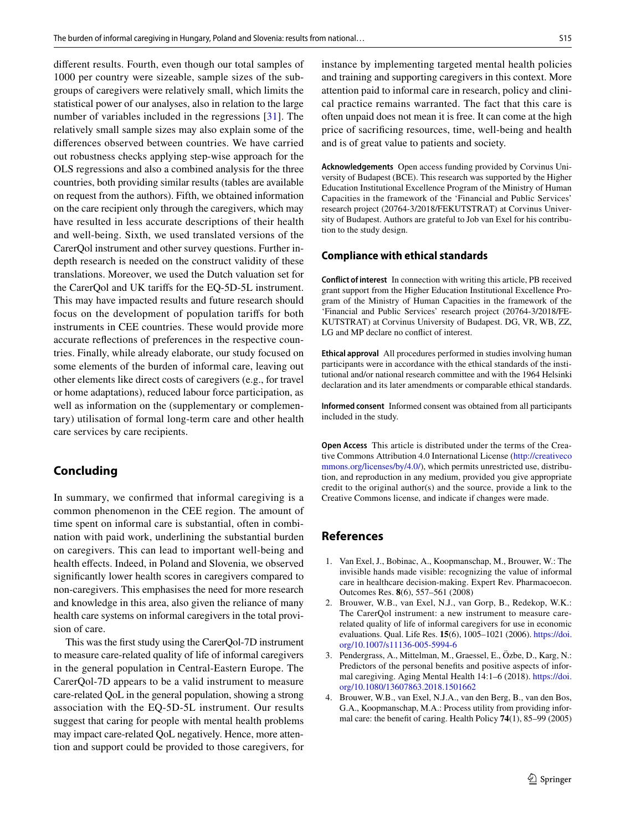diferent results. Fourth, even though our total samples of 1000 per country were sizeable, sample sizes of the subgroups of caregivers were relatively small, which limits the statistical power of our analyses, also in relation to the large number of variables included in the regressions [[31](#page-11-20)]. The relatively small sample sizes may also explain some of the diferences observed between countries. We have carried out robustness checks applying step-wise approach for the OLS regressions and also a combined analysis for the three countries, both providing similar results (tables are available on request from the authors). Fifth, we obtained information on the care recipient only through the caregivers, which may have resulted in less accurate descriptions of their health and well-being. Sixth, we used translated versions of the CarerQol instrument and other survey questions. Further indepth research is needed on the construct validity of these translations. Moreover, we used the Dutch valuation set for the CarerQol and UK tarifs for the EQ-5D-5L instrument. This may have impacted results and future research should focus on the development of population tarifs for both instruments in CEE countries. These would provide more accurate refections of preferences in the respective countries. Finally, while already elaborate, our study focused on some elements of the burden of informal care, leaving out other elements like direct costs of caregivers (e.g., for travel or home adaptations), reduced labour force participation, as well as information on the (supplementary or complementary) utilisation of formal long-term care and other health care services by care recipients.

# **Concluding**

In summary, we confrmed that informal caregiving is a common phenomenon in the CEE region. The amount of time spent on informal care is substantial, often in combination with paid work, underlining the substantial burden on caregivers. This can lead to important well-being and health effects. Indeed, in Poland and Slovenia, we observed signifcantly lower health scores in caregivers compared to non-caregivers. This emphasises the need for more research and knowledge in this area, also given the reliance of many health care systems on informal caregivers in the total provision of care.

This was the frst study using the CarerQol-7D instrument to measure care-related quality of life of informal caregivers in the general population in Central-Eastern Europe. The CarerQol-7D appears to be a valid instrument to measure care-related QoL in the general population, showing a strong association with the EQ-5D-5L instrument. Our results suggest that caring for people with mental health problems may impact care-related QoL negatively. Hence, more attention and support could be provided to those caregivers, for instance by implementing targeted mental health policies and training and supporting caregivers in this context. More attention paid to informal care in research, policy and clinical practice remains warranted. The fact that this care is often unpaid does not mean it is free. It can come at the high price of sacrifcing resources, time, well-being and health and is of great value to patients and society.

**Acknowledgements** Open access funding provided by Corvinus University of Budapest (BCE). This research was supported by the Higher Education Institutional Excellence Program of the Ministry of Human Capacities in the framework of the 'Financial and Public Services' research project (20764-3/2018/FEKUTSTRAT) at Corvinus University of Budapest. Authors are grateful to Job van Exel for his contribution to the study design.

## **Compliance with ethical standards**

**Conflict of interest** In connection with writing this article, PB received grant support from the Higher Education Institutional Excellence Program of the Ministry of Human Capacities in the framework of the 'Financial and Public Services' research project (20764-3/2018/FE-KUTSTRAT) at Corvinus University of Budapest. DG, VR, WB, ZZ, LG and MP declare no conflict of interest.

**Ethical approval** All procedures performed in studies involving human participants were in accordance with the ethical standards of the institutional and/or national research committee and with the 1964 Helsinki declaration and its later amendments or comparable ethical standards.

**Informed consent** Informed consent was obtained from all participants included in the study.

**Open Access** This article is distributed under the terms of the Creative Commons Attribution 4.0 International License ([http://creativeco](http://creativecommons.org/licenses/by/4.0/) [mmons.org/licenses/by/4.0/](http://creativecommons.org/licenses/by/4.0/)), which permits unrestricted use, distribution, and reproduction in any medium, provided you give appropriate credit to the original author(s) and the source, provide a link to the Creative Commons license, and indicate if changes were made.

# **References**

- <span id="page-10-0"></span>1. Van Exel, J., Bobinac, A., Koopmanschap, M., Brouwer, W.: The invisible hands made visible: recognizing the value of informal care in healthcare decision-making. Expert Rev. Pharmacoecon. Outcomes Res. **8**(6), 557–561 (2008)
- <span id="page-10-1"></span>2. Brouwer, W.B., van Exel, N.J., van Gorp, B., Redekop, W.K.: The CarerQol instrument: a new instrument to measure carerelated quality of life of informal caregivers for use in economic evaluations. Qual. Life Res. **15**(6), 1005–1021 (2006). [https://doi.](https://doi.org/10.1007/s11136-005-5994-6) [org/10.1007/s11136-005-5994-6](https://doi.org/10.1007/s11136-005-5994-6)
- <span id="page-10-2"></span>3. Pendergrass, A., Mittelman, M., Graessel, E., Özbe, D., Karg, N.: Predictors of the personal benefts and positive aspects of informal caregiving. Aging Mental Health 14:1–6 (2018). [https://doi.](https://doi.org/10.1080/13607863.2018.1501662) [org/10.1080/13607863.2018.1501662](https://doi.org/10.1080/13607863.2018.1501662)
- <span id="page-10-3"></span>4. Brouwer, W.B., van Exel, N.J.A., van den Berg, B., van den Bos, G.A., Koopmanschap, M.A.: Process utility from providing informal care: the beneft of caring. Health Policy **74**(1), 85–99 (2005)